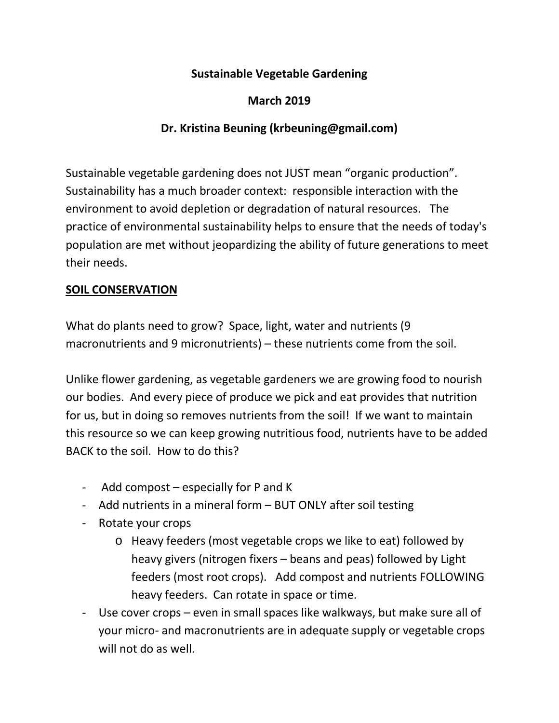## **Sustainable Vegetable Gardening**

## **March 2019**

## **Dr. Kristina Beuning (krbeuning@gmail.com)**

Sustainable vegetable gardening does not JUST mean "organic production". Sustainability has a much broader context: responsible interaction with the environment to avoid depletion or degradation of natural resources. The practice of environmental sustainability helps to ensure that the needs of today's population are met without jeopardizing the ability of future generations to meet their needs.

#### **SOIL CONSERVATION**

What do plants need to grow? Space, light, water and nutrients (9 macronutrients and 9 micronutrients) – these nutrients come from the soil.

Unlike flower gardening, as vegetable gardeners we are growing food to nourish our bodies. And every piece of produce we pick and eat provides that nutrition for us, but in doing so removes nutrients from the soil! If we want to maintain this resource so we can keep growing nutritious food, nutrients have to be added BACK to the soil. How to do this?

- Add compost especially for P and K
- Add nutrients in a mineral form BUT ONLY after soil testing
- Rotate your crops
	- o Heavy feeders (most vegetable crops we like to eat) followed by heavy givers (nitrogen fixers – beans and peas) followed by Light feeders (most root crops). Add compost and nutrients FOLLOWING heavy feeders. Can rotate in space or time.
- Use cover crops even in small spaces like walkways, but make sure all of your micro- and macronutrients are in adequate supply or vegetable crops will not do as well.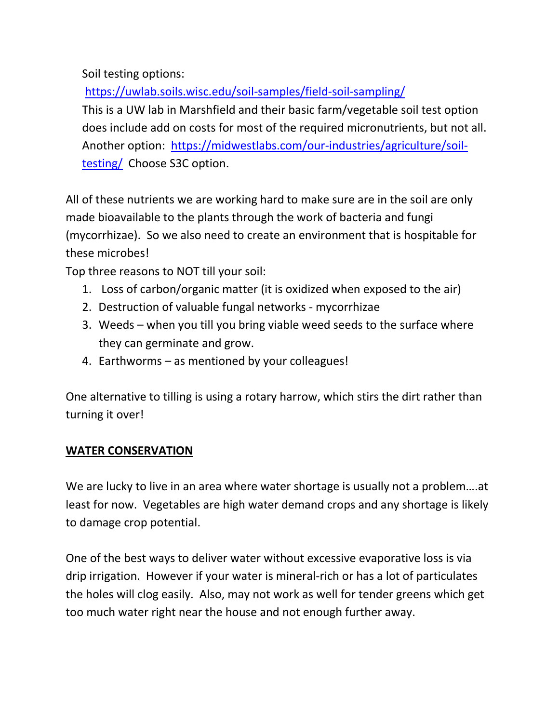Soil testing options:

<https://uwlab.soils.wisc.edu/soil-samples/field-soil-sampling/>

This is a UW lab in Marshfield and their basic farm/vegetable soil test option does include add on costs for most of the required micronutrients, but not all. Another option: [https://midwestlabs.com/our-industries/agriculture/soil](https://midwestlabs.com/our-industries/agriculture/soil-testing/)[testing/](https://midwestlabs.com/our-industries/agriculture/soil-testing/) Choose S3C option.

All of these nutrients we are working hard to make sure are in the soil are only made bioavailable to the plants through the work of bacteria and fungi (mycorrhizae). So we also need to create an environment that is hospitable for these microbes!

Top three reasons to NOT till your soil:

- 1. Loss of carbon/organic matter (it is oxidized when exposed to the air)
- 2. Destruction of valuable fungal networks mycorrhizae
- 3. Weeds when you till you bring viable weed seeds to the surface where they can germinate and grow.
- 4. Earthworms as mentioned by your colleagues!

One alternative to tilling is using a rotary harrow, which stirs the dirt rather than turning it over!

## **WATER CONSERVATION**

We are lucky to live in an area where water shortage is usually not a problem….at least for now. Vegetables are high water demand crops and any shortage is likely to damage crop potential.

One of the best ways to deliver water without excessive evaporative loss is via drip irrigation. However if your water is mineral-rich or has a lot of particulates the holes will clog easily. Also, may not work as well for tender greens which get too much water right near the house and not enough further away.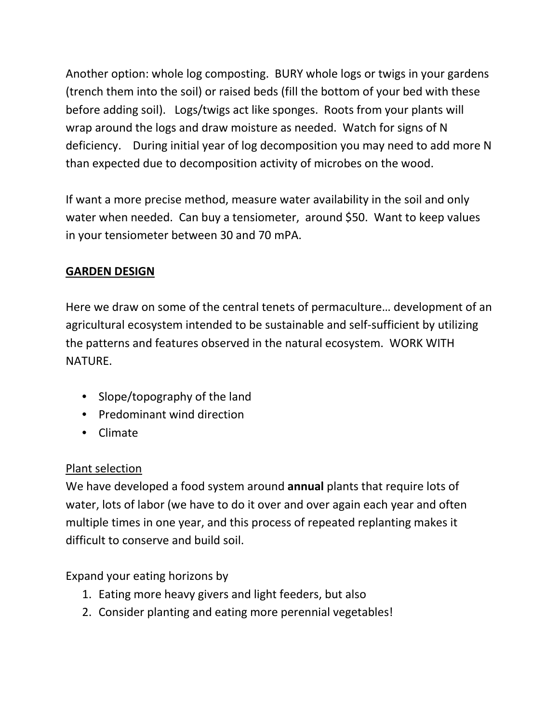Another option: whole log composting. BURY whole logs or twigs in your gardens (trench them into the soil) or raised beds (fill the bottom of your bed with these before adding soil). Logs/twigs act like sponges. Roots from your plants will wrap around the logs and draw moisture as needed. Watch for signs of N deficiency. During initial year of log decomposition you may need to add more N than expected due to decomposition activity of microbes on the wood.

If want a more precise method, measure water availability in the soil and only water when needed. Can buy a tensiometer, around \$50. Want to keep values in your tensiometer between 30 and 70 mPA.

# **GARDEN DESIGN**

Here we draw on some of the central tenets of permaculture… development of an agricultural ecosystem intended to be sustainable and self-sufficient by utilizing the patterns and features observed in the natural ecosystem. WORK WITH NATURE.

- Slope/topography of the land
- Predominant wind direction
- Climate

## Plant selection

We have developed a food system around **annual** plants that require lots of water, lots of labor (we have to do it over and over again each year and often multiple times in one year, and this process of repeated replanting makes it difficult to conserve and build soil.

Expand your eating horizons by

- 1. Eating more heavy givers and light feeders, but also
- 2. Consider planting and eating more perennial vegetables!